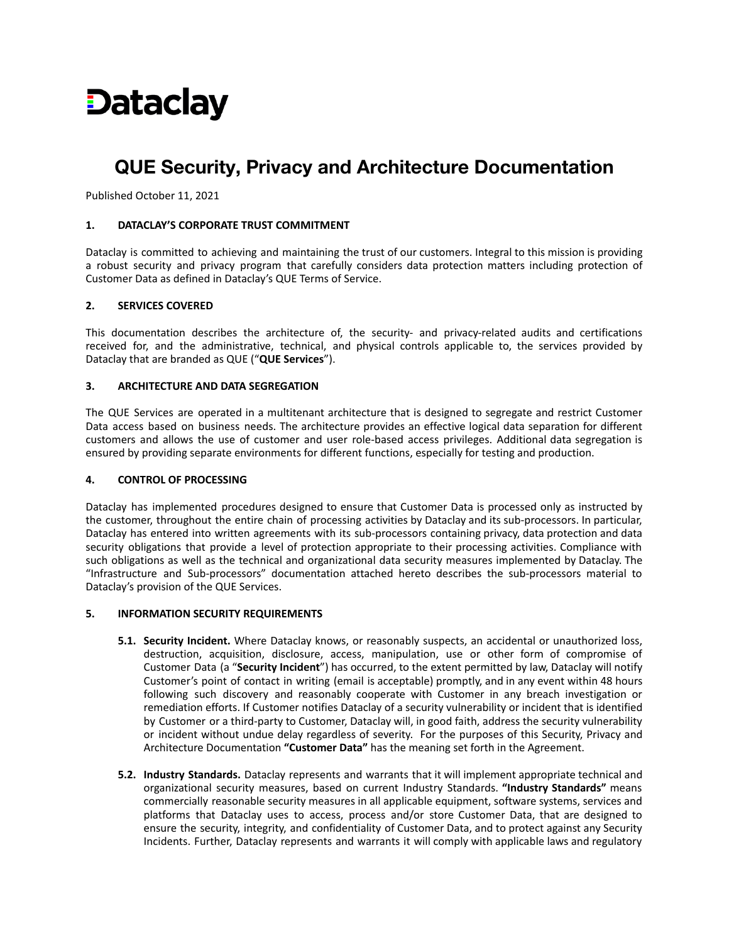# **Dataclay**

# **QUE Security, Privacy and Architecture Documentation**

Published October 11, 2021

# **1. DATACLAY'S CORPORATE TRUST COMMITMENT**

Dataclay is committed to achieving and maintaining the trust of our customers. Integral to this mission is providing a robust security and privacy program that carefully considers data protection matters including protection of Customer Data as defined in Dataclay's QUE Terms of Service.

# **2. SERVICES COVERED**

This documentation describes the architecture of, the security- and privacy-related audits and certifications received for, and the administrative, technical, and physical controls applicable to, the services provided by Dataclay that are branded as QUE ("**QUE Services**").

# **3. ARCHITECTURE AND DATA SEGREGATION**

The QUE Services are operated in a multitenant architecture that is designed to segregate and restrict Customer Data access based on business needs. The architecture provides an effective logical data separation for different customers and allows the use of customer and user role-based access privileges. Additional data segregation is ensured by providing separate environments for different functions, especially for testing and production.

#### **4. CONTROL OF PROCESSING**

Dataclay has implemented procedures designed to ensure that Customer Data is processed only as instructed by the customer, throughout the entire chain of processing activities by Dataclay and its sub-processors. In particular, Dataclay has entered into written agreements with its sub-processors containing privacy, data protection and data security obligations that provide a level of protection appropriate to their processing activities. Compliance with such obligations as well as the technical and organizational data security measures implemented by Dataclay. The "Infrastructure and Sub-processors" documentation attached hereto describes the sub-processors material to Dataclay's provision of the QUE Services.

#### **5. INFORMATION SECURITY REQUIREMENTS**

- **5.1. Security Incident.** Where Dataclay knows, or reasonably suspects, an accidental or unauthorized loss, destruction, acquisition, disclosure, access, manipulation, use or other form of compromise of Customer Data (a "**Security Incident**") has occurred, to the extent permitted by law, Dataclay will notify Customer's point of contact in writing (email is acceptable) promptly, and in any event within 48 hours following such discovery and reasonably cooperate with Customer in any breach investigation or remediation efforts. If Customer notifies Dataclay of a security vulnerability or incident that is identified by Customer or a third-party to Customer, Dataclay will, in good faith, address the security vulnerability or incident without undue delay regardless of severity. For the purposes of this Security, Privacy and Architecture Documentation **"Customer Data"** has the meaning set forth in the Agreement.
- **5.2. Industry Standards.** Dataclay represents and warrants that it will implement appropriate technical and organizational security measures, based on current Industry Standards. **"Industry Standards"** means commercially reasonable security measures in all applicable equipment, software systems, services and platforms that Dataclay uses to access, process and/or store Customer Data, that are designed to ensure the security, integrity, and confidentiality of Customer Data, and to protect against any Security Incidents. Further, Dataclay represents and warrants it will comply with applicable laws and regulatory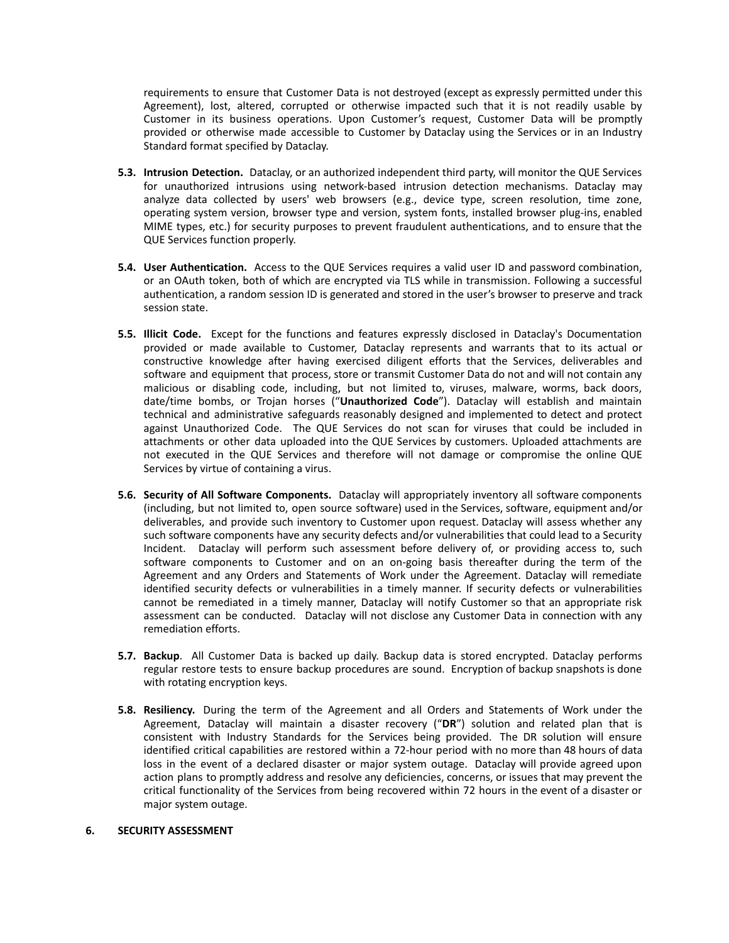requirements to ensure that Customer Data is not destroyed (except as expressly permitted under this Agreement), lost, altered, corrupted or otherwise impacted such that it is not readily usable by Customer in its business operations. Upon Customer's request, Customer Data will be promptly provided or otherwise made accessible to Customer by Dataclay using the Services or in an Industry Standard format specified by Dataclay.

- **5.3. Intrusion Detection.** Dataclay, or an authorized independent third party, will monitor the QUE Services for unauthorized intrusions using network-based intrusion detection mechanisms. Dataclay may analyze data collected by users' web browsers (e.g., device type, screen resolution, time zone, operating system version, browser type and version, system fonts, installed browser plug-ins, enabled MIME types, etc.) for security purposes to prevent fraudulent authentications, and to ensure that the QUE Services function properly.
- **5.4. User Authentication.** Access to the QUE Services requires a valid user ID and password combination, or an OAuth token, both of which are encrypted via TLS while in transmission. Following a successful authentication, a random session ID is generated and stored in the user's browser to preserve and track session state.
- **5.5. Illicit Code.** Except for the functions and features expressly disclosed in Dataclay's Documentation provided or made available to Customer, Dataclay represents and warrants that to its actual or constructive knowledge after having exercised diligent efforts that the Services, deliverables and software and equipment that process, store or transmit Customer Data do not and will not contain any malicious or disabling code, including, but not limited to, viruses, malware, worms, back doors, date/time bombs, or Trojan horses ("**Unauthorized Code**"). Dataclay will establish and maintain technical and administrative safeguards reasonably designed and implemented to detect and protect against Unauthorized Code. The QUE Services do not scan for viruses that could be included in attachments or other data uploaded into the QUE Services by customers. Uploaded attachments are not executed in the QUE Services and therefore will not damage or compromise the online QUE Services by virtue of containing a virus.
- **5.6. Security of All Software Components.** Dataclay will appropriately inventory all software components (including, but not limited to, open source software) used in the Services, software, equipment and/or deliverables, and provide such inventory to Customer upon request. Dataclay will assess whether any such software components have any security defects and/or vulnerabilities that could lead to a Security Incident. Dataclay will perform such assessment before delivery of, or providing access to, such software components to Customer and on an on-going basis thereafter during the term of the Agreement and any Orders and Statements of Work under the Agreement. Dataclay will remediate identified security defects or vulnerabilities in a timely manner. If security defects or vulnerabilities cannot be remediated in a timely manner, Dataclay will notify Customer so that an appropriate risk assessment can be conducted. Dataclay will not disclose any Customer Data in connection with any remediation efforts.
- **5.7. Backup**. All Customer Data is backed up daily. Backup data is stored encrypted. Dataclay performs regular restore tests to ensure backup procedures are sound. Encryption of backup snapshots is done with rotating encryption keys.
- **5.8. Resiliency.** During the term of the Agreement and all Orders and Statements of Work under the Agreement, Dataclay will maintain a disaster recovery ("**DR**") solution and related plan that is consistent with Industry Standards for the Services being provided. The DR solution will ensure identified critical capabilities are restored within a 72-hour period with no more than 48 hours of data loss in the event of a declared disaster or major system outage. Dataclay will provide agreed upon action plans to promptly address and resolve any deficiencies, concerns, or issues that may prevent the critical functionality of the Services from being recovered within 72 hours in the event of a disaster or major system outage.

# **6. SECURITY ASSESSMENT**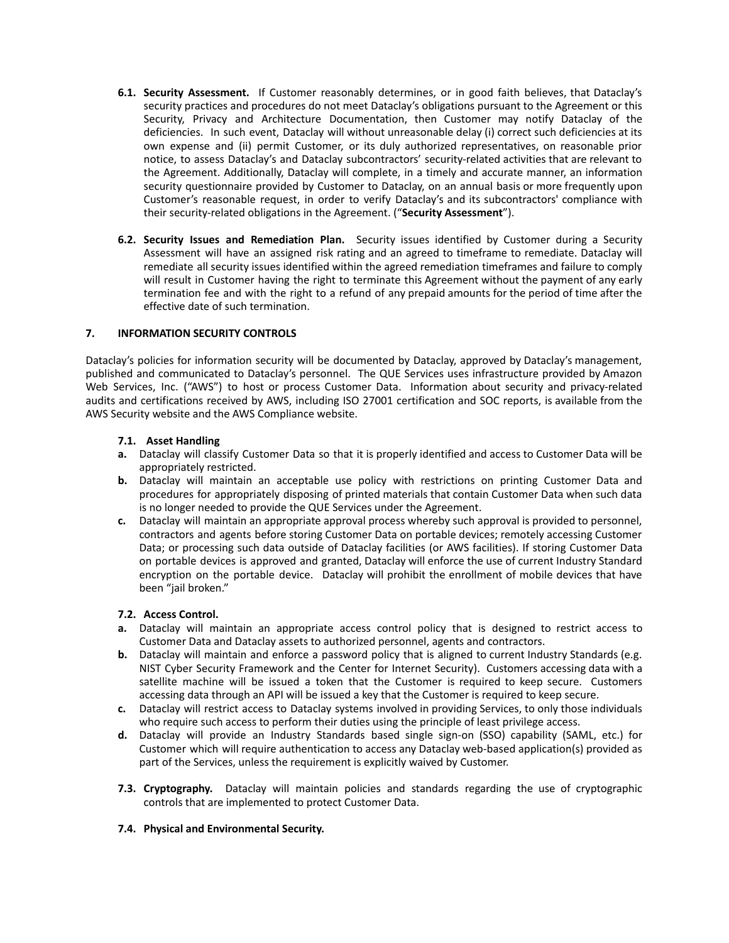- **6.1. Security Assessment.** If Customer reasonably determines, or in good faith believes, that Dataclay's security practices and procedures do not meet Dataclay's obligations pursuant to the Agreement or this Security, Privacy and Architecture Documentation, then Customer may notify Dataclay of the deficiencies. In such event, Dataclay will without unreasonable delay (i) correct such deficiencies at its own expense and (ii) permit Customer, or its duly authorized representatives, on reasonable prior notice, to assess Dataclay's and Dataclay subcontractors' security-related activities that are relevant to the Agreement. Additionally, Dataclay will complete, in a timely and accurate manner, an information security questionnaire provided by Customer to Dataclay, on an annual basis or more frequently upon Customer's reasonable request, in order to verify Dataclay's and its subcontractors' compliance with their security-related obligations in the Agreement. ("**Security Assessment**").
- **6.2. Security Issues and Remediation Plan.** Security issues identified by Customer during a Security Assessment will have an assigned risk rating and an agreed to timeframe to remediate. Dataclay will remediate all security issues identified within the agreed remediation timeframes and failure to comply will result in Customer having the right to terminate this Agreement without the payment of any early termination fee and with the right to a refund of any prepaid amounts for the period of time after the effective date of such termination.

# **7. INFORMATION SECURITY CONTROLS**

Dataclay's policies for information security will be documented by Dataclay, approved by Dataclay's management, published and communicated to Dataclay's personnel. The QUE Services uses infrastructure provided by Amazon Web Services, Inc. ("AWS") to host or process Customer Data. Information about security and privacy-related audits and certifications received by AWS, including ISO 27001 certification and SOC reports, is available from the AWS Security website and the AWS [Compliance](https://aws.amazon.com/compliance/) website.

# **7.1. Asset Handling**

- **a.** Dataclay will classify Customer Data so that it is properly identified and access to Customer Data will be appropriately restricted.
- **b.** Dataclay will maintain an acceptable use policy with restrictions on printing Customer Data and procedures for appropriately disposing of printed materials that contain Customer Data when such data is no longer needed to provide the QUE Services under the Agreement.
- **c.** Dataclay will maintain an appropriate approval process whereby such approval is provided to personnel, contractors and agents before storing Customer Data on portable devices; remotely accessing Customer Data; or processing such data outside of Dataclay facilities (or AWS facilities). If storing Customer Data on portable devices is approved and granted, Dataclay will enforce the use of current Industry Standard encryption on the portable device. Dataclay will prohibit the enrollment of mobile devices that have been "jail broken."

#### **7.2. Access Control.**

- **a.** Dataclay will maintain an appropriate access control policy that is designed to restrict access to Customer Data and Dataclay assets to authorized personnel, agents and contractors.
- **b.** Dataclay will maintain and enforce a password policy that is aligned to current Industry Standards (e.g. NIST Cyber Security Framework and the Center for Internet Security). Customers accessing data with a satellite machine will be issued a token that the Customer is required to keep secure. Customers accessing data through an API will be issued a key that the Customer is required to keep secure.
- **c.** Dataclay will restrict access to Dataclay systems involved in providing Services, to only those individuals who require such access to perform their duties using the principle of least privilege access.
- **d.** Dataclay will provide an Industry Standards based single sign-on (SSO) capability (SAML, etc.) for Customer which will require authentication to access any Dataclay web-based application(s) provided as part of the Services, unless the requirement is explicitly waived by Customer.
- **7.3. Cryptography.** Dataclay will maintain policies and standards regarding the use of cryptographic controls that are implemented to protect Customer Data.

#### **7.4. Physical and Environmental Security.**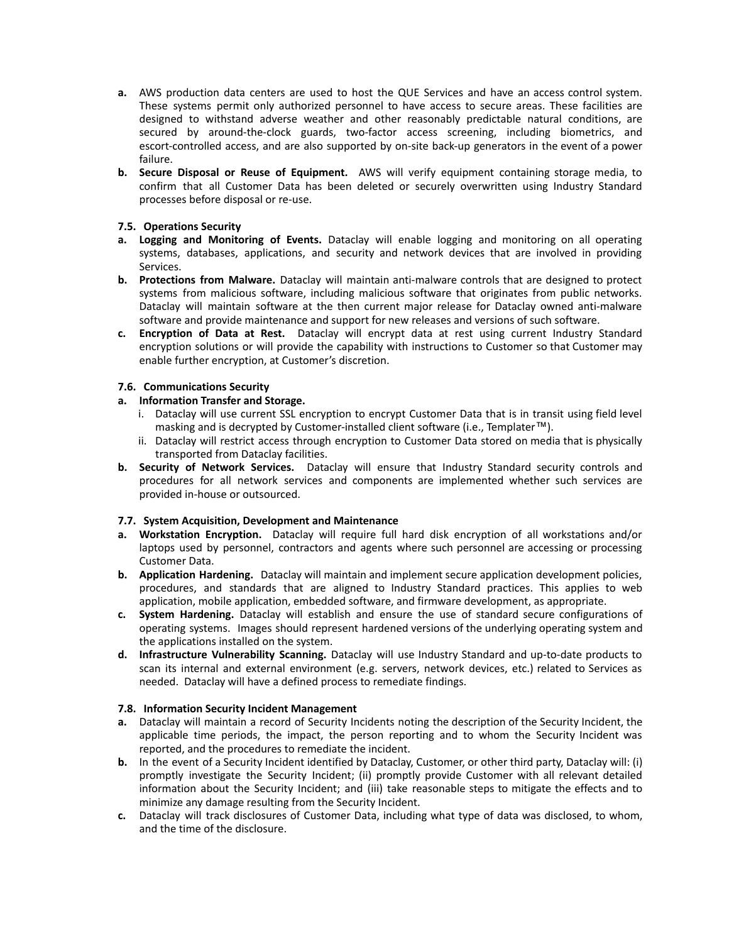- **a.** AWS production data centers are used to host the QUE Services and have an access control system. These systems permit only authorized personnel to have access to secure areas. These facilities are designed to withstand adverse weather and other reasonably predictable natural conditions, are secured by around-the-clock guards, two-factor access screening, including biometrics, and escort-controlled access, and are also supported by on-site back-up generators in the event of a power failure.
- **b. Secure Disposal or Reuse of Equipment.** AWS will verify equipment containing storage media, to confirm that all Customer Data has been deleted or securely overwritten using Industry Standard processes before disposal or re-use.

# **7.5. Operations Security**

- **a. Logging and Monitoring of Events.** Dataclay will enable logging and monitoring on all operating systems, databases, applications, and security and network devices that are involved in providing Services.
- **b. Protections from Malware.** Dataclay will maintain anti-malware controls that are designed to protect systems from malicious software, including malicious software that originates from public networks. Dataclay will maintain software at the then current major release for Dataclay owned anti-malware software and provide maintenance and support for new releases and versions of such software.
- **c. Encryption of Data at Rest.** Dataclay will encrypt data at rest using current Industry Standard encryption solutions or will provide the capability with instructions to Customer so that Customer may enable further encryption, at Customer's discretion.

# **7.6. Communications Security**

# **a. Information Transfer and Storage.**

- i. Dataclay will use current SSL encryption to encrypt Customer Data that is in transit using field level masking and is decrypted by Customer-installed client software (i.e., Templater™).
- ii. Dataclay will restrict access through encryption to Customer Data stored on media that is physically transported from Dataclay facilities.
- **b. Security of Network Services.** Dataclay will ensure that Industry Standard security controls and procedures for all network services and components are implemented whether such services are provided in-house or outsourced.

# **7.7. System Acquisition, Development and Maintenance**

- **a. Workstation Encryption.** Dataclay will require full hard disk encryption of all workstations and/or laptops used by personnel, contractors and agents where such personnel are accessing or processing Customer Data.
- **b. Application Hardening.** Dataclay will maintain and implement secure application development policies, procedures, and standards that are aligned to Industry Standard practices. This applies to web application, mobile application, embedded software, and firmware development, as appropriate.
- **c. System Hardening.** Dataclay will establish and ensure the use of standard secure configurations of operating systems. Images should represent hardened versions of the underlying operating system and the applications installed on the system.
- **d. Infrastructure Vulnerability Scanning.** Dataclay will use Industry Standard and up-to-date products to scan its internal and external environment (e.g. servers, network devices, etc.) related to Services as needed. Dataclay will have a defined process to remediate findings.

#### **7.8. Information Security Incident Management**

- **a.** Dataclay will maintain a record of Security Incidents noting the description of the Security Incident, the applicable time periods, the impact, the person reporting and to whom the Security Incident was reported, and the procedures to remediate the incident.
- **b.** In the event of a Security Incident identified by Dataclay, Customer, or other third party, Dataclay will: (i) promptly investigate the Security Incident; (ii) promptly provide Customer with all relevant detailed information about the Security Incident; and (iii) take reasonable steps to mitigate the effects and to minimize any damage resulting from the Security Incident.
- **c.** Dataclay will track disclosures of Customer Data, including what type of data was disclosed, to whom, and the time of the disclosure.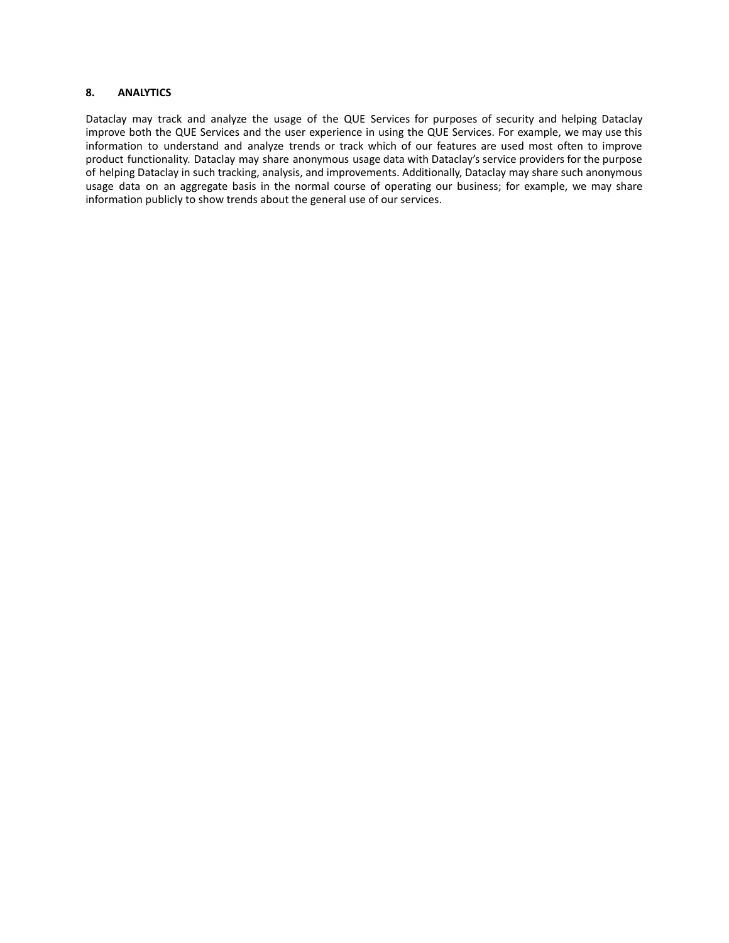# **8. ANALYTICS**

Dataclay may track and analyze the usage of the QUE Services for purposes of security and helping Dataclay improve both the QUE Services and the user experience in using the QUE Services. For example, we may use this information to understand and analyze trends or track which of our features are used most often to improve product functionality. Dataclay may share anonymous usage data with Dataclay's service providers for the purpose of helping Dataclay in such tracking, analysis, and improvements. Additionally, Dataclay may share such anonymous usage data on an aggregate basis in the normal course of operating our business; for example, we may share information publicly to show trends about the general use of our services.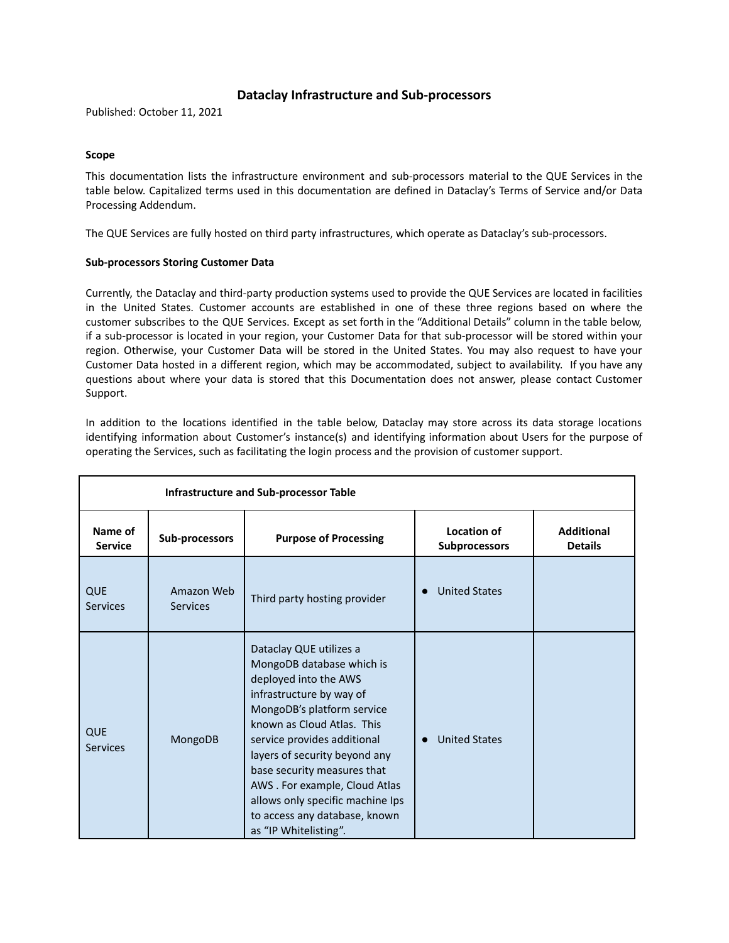# **Dataclay Infrastructure and Sub-processors**

Published: October 11, 2021

# **Scope**

This documentation lists the infrastructure environment and sub-processors material to the QUE Services in the table below. Capitalized terms used in this documentation are defined in Dataclay's Terms of Service and/or Data Processing Addendu[m.](https://www.salesforce.com/content/dam/web/en_us/www/documents/legal/Agreements/data-processing-addendum.pdf)

The QUE Services are fully hosted on third party infrastructures, which operate as Dataclay's sub-processors.

# **Sub-processors Storing Customer Data**

Currently, the Dataclay and third-party production systems used to provide the QUE Services are located in facilities in the United States. Customer accounts are established in one of these three regions based on where the customer subscribes to the QUE Services. Except as set forth in the "Additional Details" column in the table below, if a sub-processor is located in your region, your Customer Data for that sub-processor will be stored within your region. Otherwise, your Customer Data will be stored in the United States. You may also request to have your Customer Data hosted in a different region, which may be accommodated, subject to availability. If you have any questions about where your data is stored that this Documentation does not answer, please contact Customer Support.

In addition to the locations identified in the table below, Dataclay may store across its data storage locations identifying information about Customer's instance(s) and identifying information about Users for the purpose of operating the Services, such as facilitating the login process and the provision of customer support.

| <b>Infrastructure and Sub-processor Table</b> |                               |                                                                                                                                                                                                                                                                                                                                                                                                     |                                            |                                     |  |  |  |
|-----------------------------------------------|-------------------------------|-----------------------------------------------------------------------------------------------------------------------------------------------------------------------------------------------------------------------------------------------------------------------------------------------------------------------------------------------------------------------------------------------------|--------------------------------------------|-------------------------------------|--|--|--|
| Name of<br><b>Service</b>                     | Sub-processors                | <b>Purpose of Processing</b>                                                                                                                                                                                                                                                                                                                                                                        | <b>Location of</b><br><b>Subprocessors</b> | <b>Additional</b><br><b>Details</b> |  |  |  |
| <b>QUE</b><br><b>Services</b>                 | Amazon Web<br><b>Services</b> | Third party hosting provider                                                                                                                                                                                                                                                                                                                                                                        | <b>United States</b>                       |                                     |  |  |  |
| <b>QUE</b><br><b>Services</b>                 | MongoDB                       | Dataclay QUE utilizes a<br>MongoDB database which is<br>deployed into the AWS<br>infrastructure by way of<br>MongoDB's platform service<br>known as Cloud Atlas. This<br>service provides additional<br>layers of security beyond any<br>base security measures that<br>AWS. For example, Cloud Atlas<br>allows only specific machine Ips<br>to access any database, known<br>as "IP Whitelisting". | <b>United States</b><br>$\bullet$          |                                     |  |  |  |